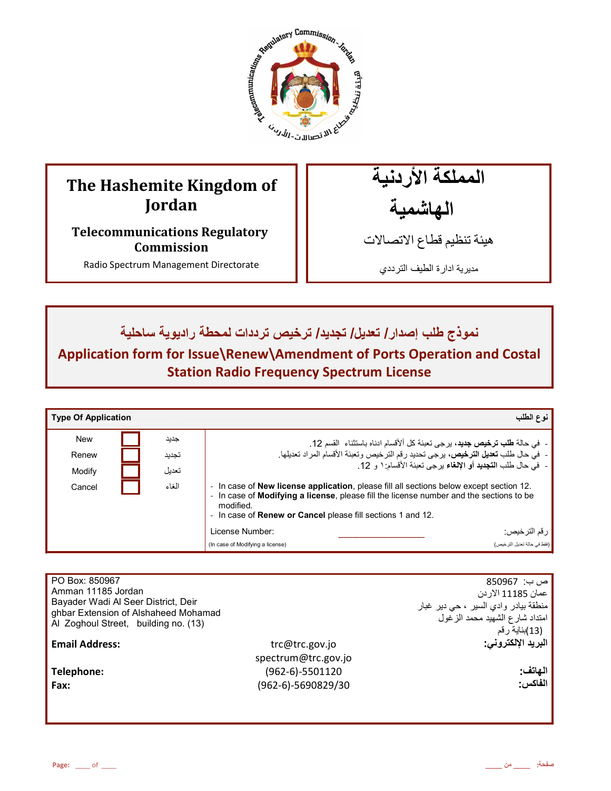

# **The Hashemite Kingdom of Jordan**

**Telecommunications Regulatory Commission** 

Radio Spectrum Management Directorate

المملكة الأردنية الـهاشمية

هيئة تنظيم قطاع الاتصـالات

مديرية ادارة الطيف الترددي

نموذج طلب إصدار / تعديل/ تجديد/ ترخيص ترددات لمحطة راديوية ساحلية

**Application form for Issue\Renew\Amendment of Ports Operation and Costal Station Radio Frequency Spectrum License** 

| <b>Type Of Application</b> |       | نوع الطلب                                                                                                                                                                                                                                                                                                   |  |
|----------------------------|-------|-------------------------------------------------------------------------------------------------------------------------------------------------------------------------------------------------------------------------------------------------------------------------------------------------------------|--|
| <b>New</b>                 | جديد  | - في حالة <b>طلب ترخيص جديد</b> ، برجي تعبئة كل ألأقسام ادناه باستثناء  القسم 12.                                                                                                                                                                                                                           |  |
| Renew                      | تجديد | -  فيّ حال طلب <b>تعديل الترخيص،</b> برحى تحديد رقم الترخيص وتعبئة الأقسام المراد تعديلها.                                                                                                                                                                                                                  |  |
| Modify                     | تعديل | -  فيّ حال طلب ا <b>لتجديد</b> أو الإ <b>لغ</b> اء يرجى تعبئة الأقسام: ١ و 12.                                                                                                                                                                                                                              |  |
| Cancel                     | الغاء | In case of <b>New license application</b> , please fill all sections below except section 12.<br>$\overline{\phantom{a}}$<br>In case of <b>Modifying a license</b> , please fill the license number and the sections to be<br>modified.<br>In case of <b>Renew or Cancel</b> please fill sections 1 and 12. |  |
|                            |       | License Number:<br>رقم الترخيص:                                                                                                                                                                                                                                                                             |  |
|                            |       | (فقط في حالة تعديل الترخيص)<br>(In case of Modifying a license)                                                                                                                                                                                                                                             |  |

| PO Box: 850967<br>Amman 11185 Jordan<br>Bayader Wadi Al Seer District, Deir<br>ghbar Extension of Alshaheed Mohamad<br>Al Zoghoul Street, building no. (13) |                     | ص ب:  850967<br>عمان 11185 الار دن<br>منطقة بيادر وادي السير ، حي دير غبار<br>امتداد شارع الشهيد محمد الزغول<br>(13)بناية رقم |
|-------------------------------------------------------------------------------------------------------------------------------------------------------------|---------------------|-------------------------------------------------------------------------------------------------------------------------------|
| <b>Email Address:</b>                                                                                                                                       | trc@trc.gov.jo      | البريد الإلكتروني.                                                                                                            |
|                                                                                                                                                             | spectrum@trc.gov.jo |                                                                                                                               |
| Telephone:                                                                                                                                                  | (962-6)-5501120     | الهاتف:                                                                                                                       |
| Fax:                                                                                                                                                        | (962-6)-5690829/30  | الفاكس:                                                                                                                       |
|                                                                                                                                                             |                     |                                                                                                                               |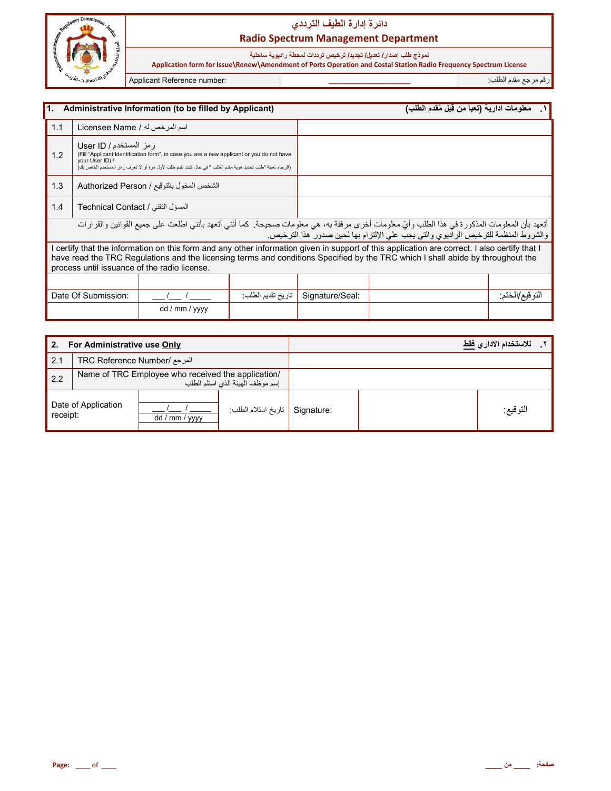

# دائرة إدارة الطيف الترد*دي* **Radio Spectrum Management Department**

نموذج طلب إصدار **/ تعديل/ تجديد/ ترخيص ترددات لمحطة ر اديوية ساحلية** 

 **Application form for Issue\Renew\Amendment of Ports Operation and Costal Station Radio Frequency Spectrum License**

رم رg &دم اط+ب: **\_\_\_\_\_\_\_\_\_\_\_\_\_\_\_\_\_\_\_\_\_\_** :number Reference Applicant

| l1.<br>Administrative Information (to be filled by Applicant)                                                                                                                                                                                                |                                                                                                                                                                                                                                                                                                                                  |                |                   |                 | معلومات ادارية (تعبأ من قِبل مُقدم الطلب)                                                                                                                                                                                            |                |
|--------------------------------------------------------------------------------------------------------------------------------------------------------------------------------------------------------------------------------------------------------------|----------------------------------------------------------------------------------------------------------------------------------------------------------------------------------------------------------------------------------------------------------------------------------------------------------------------------------|----------------|-------------------|-----------------|--------------------------------------------------------------------------------------------------------------------------------------------------------------------------------------------------------------------------------------|----------------|
| 1.1                                                                                                                                                                                                                                                          | اسم المرخص له / Licensee Name                                                                                                                                                                                                                                                                                                    |                |                   |                 |                                                                                                                                                                                                                                      |                |
| ر مز المستخدم / User ID<br>(Fill "Applicant Identification form", in case you are a new applicant or you do not have<br>1.2<br>your User ID) /<br>(الرجاء تعبئة "طلب تحديد هوية مقدم الطلب " في حال كنت تقدم طلب لأول مرة أو لا تعرف ر مز المستخدم الخاص بك) |                                                                                                                                                                                                                                                                                                                                  |                |                   |                 |                                                                                                                                                                                                                                      |                |
| 1.3                                                                                                                                                                                                                                                          | الشخص المخول بالتوقيع / Authorized Person                                                                                                                                                                                                                                                                                        |                |                   |                 |                                                                                                                                                                                                                                      |                |
| 1.4                                                                                                                                                                                                                                                          | المسؤل التقني / Technical Contact                                                                                                                                                                                                                                                                                                |                |                   |                 |                                                                                                                                                                                                                                      |                |
|                                                                                                                                                                                                                                                              |                                                                                                                                                                                                                                                                                                                                  |                |                   |                 | أتعهد بأن المعلومات المذكورة في هذا الطلب وأيّ معلومات أخرى مرفقة به، هي معلومات صحيحة. كما أنني أتعهد بأنني اطلعت على جميع القوانين والقرارات<br>والشروط المنظمة للترخيص الراديوي والتي يجب على الإلتزام بها لحين صدور هذا الترخيص. |                |
|                                                                                                                                                                                                                                                              | I certify that the information on this form and any other information given in support of this application are correct. I also certify that I<br>have read the TRC Regulations and the licensing terms and conditions Specified by the TRC which I shall abide by throughout the<br>process until issuance of the radio license. |                |                   |                 |                                                                                                                                                                                                                                      |                |
|                                                                                                                                                                                                                                                              |                                                                                                                                                                                                                                                                                                                                  |                |                   |                 |                                                                                                                                                                                                                                      |                |
|                                                                                                                                                                                                                                                              | Date Of Submission:                                                                                                                                                                                                                                                                                                              |                | تاريخ تقديم الطلب | Signature/Seal: |                                                                                                                                                                                                                                      | النوفيع/الخنم: |
|                                                                                                                                                                                                                                                              |                                                                                                                                                                                                                                                                                                                                  | dd / mm / yyyy |                   |                 |                                                                                                                                                                                                                                      |                |

| For Administrative use Only<br>2. |                              |                                                    |                                  | للاستخدام الادار  فقط |          |  |
|-----------------------------------|------------------------------|----------------------------------------------------|----------------------------------|-----------------------|----------|--|
| 2.1                               | المرجع /TRC Reference Number |                                                    |                                  |                       |          |  |
| 2.2                               |                              | Name of TRC Employee who received the application/ | إسم موظف الهيئة الذي استلم الطلب |                       |          |  |
| Date of Application<br>receipt:   |                              | dd / mm / yyyy                                     | Signature   تاريخ استلام الطلب   |                       | التوقيع: |  |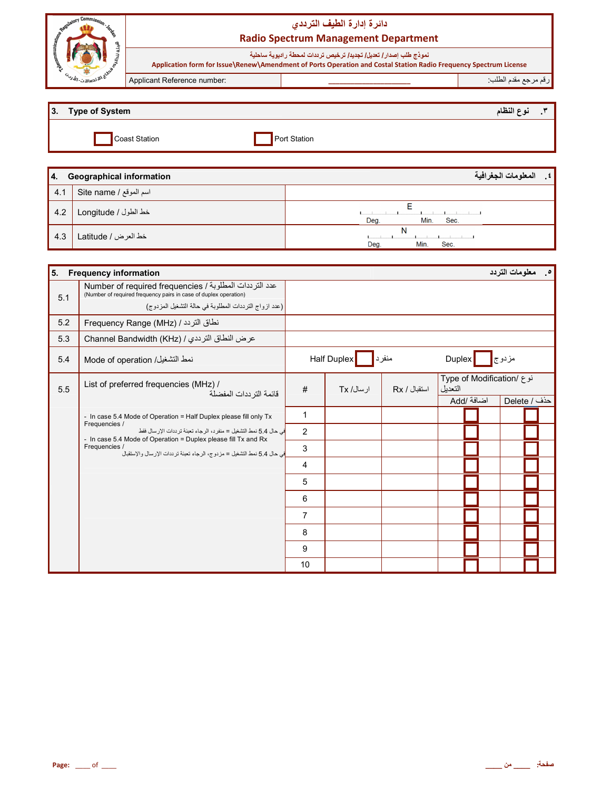| Commic.<br>a                              | دائرة إدارة الطيف الترددى<br><b>Radio Spectrum Management Department</b> |                                                                                                                                                                                        |                     |  |  |
|-------------------------------------------|--------------------------------------------------------------------------|----------------------------------------------------------------------------------------------------------------------------------------------------------------------------------------|---------------------|--|--|
|                                           |                                                                          | نموذج طلب إصدار / تعديل/ تجديد/ ترخيص ترددات لمحطة راديوية ساحلية<br>Application form for Issue\Renew\Amendment of Ports Operation and Costal Station Radio Frequency Spectrum License |                     |  |  |
| $\omega_{\nu j}$ $\omega_{\nu}$ . The set | Applicant Reference number:                                              |                                                                                                                                                                                        | رقم مرجع مقدم الطلب |  |  |
|                                           |                                                                          |                                                                                                                                                                                        |                     |  |  |

| $\vert 3. \vert$ | <b>Type of System</b> |           | ندء النظل | - |
|------------------|-----------------------|-----------|-----------|---|
|                  | Coast Station.        | t Station |           |   |

| 14. | <b>Geographical information</b> | المعلومات الجغرافية<br>$\mathbf{t}$ |
|-----|---------------------------------|-------------------------------------|
| 4.1 | اسم الموقع / Site name          |                                     |
| 4.2 | خط الطول / Longitude            | Min.<br>Deg.<br>Sec.                |
| 4.3 | خط العرض / Latitude             | N<br>Min.<br>Deg.<br>Sec.           |

| 5.<br><b>Frequency information</b> |                                                                                                                                                                 |                |             |              |         |                           | <b>0 معلومات التردد</b> |  |
|------------------------------------|-----------------------------------------------------------------------------------------------------------------------------------------------------------------|----------------|-------------|--------------|---------|---------------------------|-------------------------|--|
| 5.1                                | عدد الترددات المطلوبة / Number of required frequencies<br>(Number of required frequency pairs in case of duplex operation)                                      |                |             |              |         |                           |                         |  |
|                                    | (عدد ازواج الترددات المطلوبة في حالة التشغيل المزدوج)                                                                                                           |                |             |              |         |                           |                         |  |
| 5.2                                | نطاق التردد / (Frequency Range (MHz                                                                                                                             |                |             |              |         |                           |                         |  |
| 5.3                                | عرض النطاق الترددي / Channel Bandwidth (KHz)                                                                                                                    |                |             |              |         |                           |                         |  |
| 5.4                                | نمط التشغيل/ Mode of operation                                                                                                                                  |                | Half Duplex | منفرد        | Duplex  |                           | مزدوج <mark></mark>     |  |
| 5.5                                | List of preferred frequencies (MHz) /<br>قائمة التر ددات المفضلة                                                                                                | #              | ار سال/ Tx  | استقبال / Rx | التعدبل | نوع /Type of Modification |                         |  |
|                                    |                                                                                                                                                                 |                |             |              |         | اضافة /Add                | حذف / Delete            |  |
|                                    | - In case 5.4 Mode of Operation = Half Duplex please fill only Tx                                                                                               | $\mathbf{1}$   |             |              |         |                           |                         |  |
|                                    | Frequencies /<br>في حال 5.4 نمط التشغيل = منفر د، الرجاء تعبئة تر ددات الإر سال فقط                                                                             | 2              |             |              |         |                           |                         |  |
|                                    | - In case 5.4 Mode of Operation = Duplex please fill Tx and Rx<br>Frequencies /<br>في حال 5.4 نمط التشغيل = مز دو ج، الر جاء تعينة تر ددات الإر سال و الإستقبال | 3              |             |              |         |                           |                         |  |
|                                    |                                                                                                                                                                 | 4              |             |              |         |                           |                         |  |
|                                    |                                                                                                                                                                 | 5              |             |              |         |                           |                         |  |
|                                    |                                                                                                                                                                 | 6              |             |              |         |                           |                         |  |
|                                    |                                                                                                                                                                 | $\overline{7}$ |             |              |         |                           |                         |  |
|                                    |                                                                                                                                                                 | 8              |             |              |         |                           |                         |  |
|                                    |                                                                                                                                                                 | 9              |             |              |         |                           |                         |  |
|                                    |                                                                                                                                                                 | 10             |             |              |         |                           |                         |  |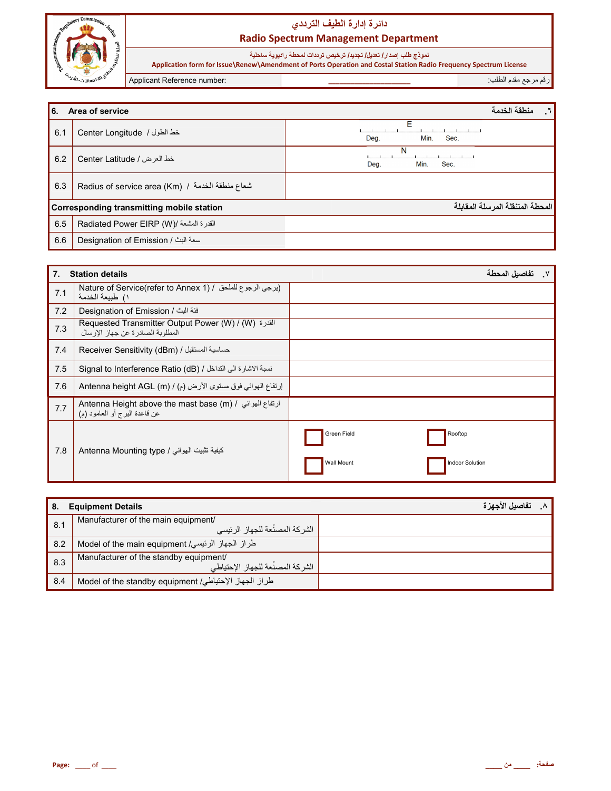

نموذج طلب إصدار/ تعديل/ تجديد/ ترخيص ترددات لمحطة راديوية ساحلية<br>Application form for Issue\Renew\Amendment of Ports Operation and Costal Station Radio Frequency Spectrum License

Applicant Reference number:

رقم مرجع مقدم الطلب:

| <b>6.</b> | Area of service                                   | منطقة الخدمة<br>٦.               |
|-----------|---------------------------------------------------|----------------------------------|
| 6.1       | خط الطول / Center Longitude                       | F<br>Deg.<br>Min.<br>Sec.        |
| 6.2       | خط العرض / Center Latitude                        | N<br>Min.<br>Sec.<br>Deg.        |
| 6.3       | Radius of service area (Km) / شعاع منطقة الخدمة / |                                  |
|           | Corresponding transmitting mobile station         | المحطة المتنقلة المرسلة المقابلة |
| 6.5       | القدرة المشعة /(Radiated Power EIRP (W            |                                  |
| 6.6       | Designation of Emission / سعة البث                |                                  |

| 7.  | <b>Station details</b>                                                                                                        | تفاصبل المحطة                                                  |
|-----|-------------------------------------------------------------------------------------------------------------------------------|----------------------------------------------------------------|
| 7.1 | Nature of Service(refer to Annex 1) / ايرجى الرجوع للملحق / Nature of Service(refer to Annex 1)<br>١) طبيعة الخدمة            |                                                                |
| 7.2 | فئة البث / Designation of Emission                                                                                            |                                                                |
| 7.3 | Requested Transmitter Output Power (W) / (W) القدرة<br>المطلوبة الصادرة عن جهاز الإرسال                                       |                                                                |
| 7.4 | Receiver Sensitivity (dBm) / حساسية المستقبل                                                                                  |                                                                |
| 7.5 | نسبة الاشارة الى التداخل / Signal to Interference Ratio (dB)                                                                  |                                                                |
| 7.6 | إرتفاع الهوائي فوق مستوى الأرض (م) / Antenna height AGL (m)                                                                   |                                                                |
| 7.7 | Antenna Height above the mast base (m) / ارتفاع الهوائي / Antenna Height above the mast base<br>عن قاعدة البرج أو العامود (م) |                                                                |
| 7.8 | كيفية تثبيت الهوائي / Antenna Mounting type                                                                                   | Green Field<br>Rooftop<br>Wall Mount<br><b>Indoor Solution</b> |

| -8. | <b>Equipment Details</b>                              | تفاصيل الأجهزة |
|-----|-------------------------------------------------------|----------------|
| 8.1 | Manufacturer of the main equipment/                   |                |
|     | ر الشر كة المصنِّعة للجهاز الرئيسي                    |                |
| 8.2 | طراز الجهاز الرئيسي/ Model of the main equipment      |                |
| 8.3 | Manufacturer of the standby equipment/                |                |
|     | ، الشر كة المصنِّعة للجهاز الإحتياطي                  |                |
| 8.4 | طراز الجهاز الإحتياطي/ Model of the standby equipment |                |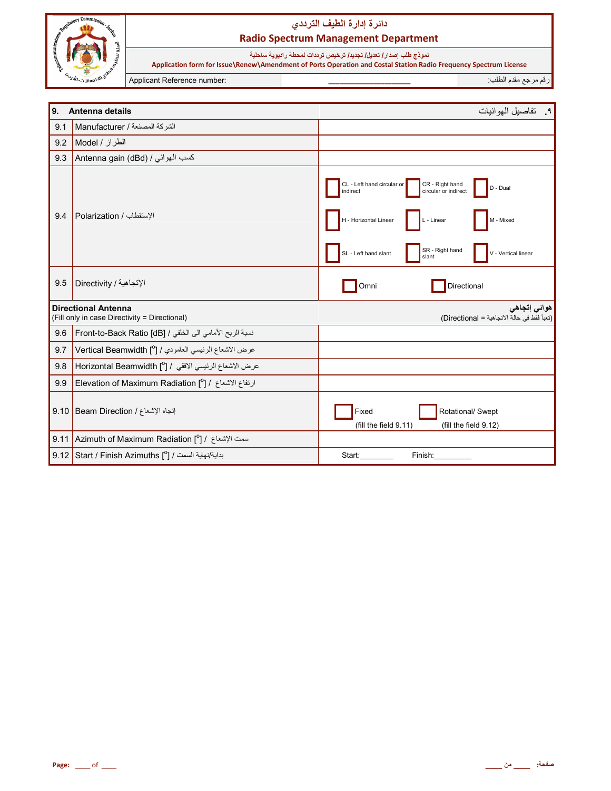

نموذج طلب إصدا*ر |* تعديل/ تجديد/ ترخيص ترددات لمحطة راديوية ساحلية<br>Application form for Issue\Renew\Amendment of Ports Operation and Costal Station Radio Frequency Spectrum License

Applicant Reference number:

رقم مرجع مقدم الطلب:

| 9.   | Antenna details                                                             | ٩. تفاصيل الهو ائيات                                                                                                                                                                                                         |
|------|-----------------------------------------------------------------------------|------------------------------------------------------------------------------------------------------------------------------------------------------------------------------------------------------------------------------|
| 9.1  | الشركة المصنعة / Manufacturer                                               |                                                                                                                                                                                                                              |
| 9.2  | الطراز / Model                                                              |                                                                                                                                                                                                                              |
| 9.3  | Antenna gain (dBd) / كسب الهوائي                                            |                                                                                                                                                                                                                              |
| 9.4  | الإستقطاب / Polarization                                                    | CL - Left hand circular or<br>CR - Right hand<br>D - Dual<br>circular or indirect<br>indirect<br>H - Horizontal Linear<br>L - Linear<br>M - Mixed<br>SR - Right hand<br>SL - Left hand slant<br>V - Vertical linear<br>slant |
| 9.5  | الإتجاهية / Directivity                                                     | Directional<br>Omni                                                                                                                                                                                                          |
|      | <b>Directional Antenna</b><br>(Fill only in case Directivity = Directional) | هوائي إتجاهي<br>(تعبأ فقط في حالة الاتجاهية = Directional)                                                                                                                                                                   |
| 9.6  | نسبة الربح الأمامي الى الخلفي / Front-to-Back Ratio [dB]                    |                                                                                                                                                                                                                              |
| 9.7  | عرض الاشعاع الرئيسي العامودي / [0] Vertical Beamwidth                       |                                                                                                                                                                                                                              |
| 9.8  | عرض الاشعاع الرئيسي الافقى / [ <sup>0</sup> ] Horizontal Beamwidth          |                                                                                                                                                                                                                              |
| 9.9  | ارتفاع الاشعاع / [ <sup>0</sup> ] Elevation of Maximum Radiation            |                                                                                                                                                                                                                              |
| 9.10 | إتجاه الإشعاع / Beam Direction                                              | Rotational/ Swept<br>Fixed<br>(fill the field 9.11)<br>(fill the field 9.12)                                                                                                                                                 |
|      | سمت الإشعاع / [0] Azimuth of Maximum Radiation [9] اسمت الإشعاع / 9.11      |                                                                                                                                                                                                                              |
|      | بداية/نهاية السمت / Start / Finish Azimuths [°] /                           | Start:<br>Finish:                                                                                                                                                                                                            |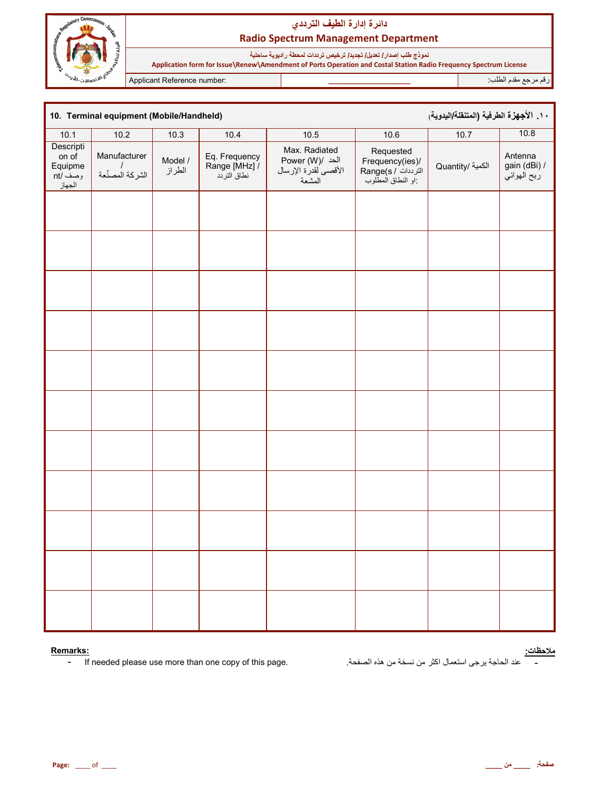

نموذج طلب إصدار/ تعديل/ تجديد/ ترخيص ترددات لمحطة راديوية ساحلية Application form for Issue\Renew\Amendment of Ports Operation and Costal Station Radio Frequency Spectrum License

Applicant Reference number:

رقم مرجع مقدم الطلب<del>.</del>

١٠. الأجهزة الطرفية (المتنقلة/اليدوية) 10. Terminal equipment (Mobile/Handheld)  $10.8$  $10.1$  $10.2$  $10.3$  $10.4$ 10.5  $10.6$  $10.7$ Descripti Max. Radiated Requested Manufacturer on of Antenna Eq. Frequency Frequency(ies)/<br>الترددات / Range(s<br>إو النطاق المطلوب: Power (W)/ الحد Model / gain (dBi) / الكمية /Quantity Equipme  $\sqrt{ }$ Range [MHz] / الأقصىي لقدرة الإرسال الطراز الشركة المصنًعة ر<br>ربح الـهوائـي نطاق التردد وصف /nt المشعة الجهاز

#### Remarks:

 $\blacksquare$ If needed please use more than one copy of this page. <mark>ملاحظات:</mark><br>\_\_\_\_\_ عند الحاجة يرجى استعمال اكثر من نسخة من هذه الصفحة.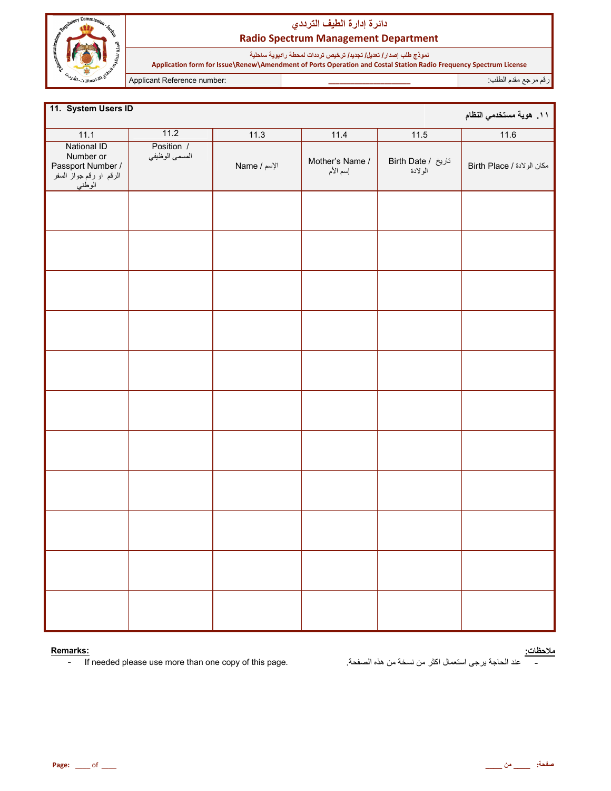

نموذج طلب إصدار/ تعديل/ تجديد/ ترخيص ترددات لمحطة راديوية ساحلية<br>Application form for Issue\Renew\Amendment of Ports Operation and Costal Station Radio Frequency Spectrum License

Applicant Reference number:

رقم مرجع مقدم الطلب

| 11. System Users ID<br>١١. هوية مستخدمي النظام                                     |                              |              |                             |                               |                            |  |  |  |
|------------------------------------------------------------------------------------|------------------------------|--------------|-----------------------------|-------------------------------|----------------------------|--|--|--|
| 11.1                                                                               | 11.2                         | 11.3         | 11.4                        | 11.5                          | 11.6                       |  |  |  |
| National ID<br>Number or<br>Passport Number /<br>الرقم او رقم جواز السفر<br>الوطني | Position /<br>المسمى الوظيفي | الإسم / Name | Mother's Name /<br>إسم الأم | تاريخ / Birth Date<br>الولادة | مكان الولادة / Birth Place |  |  |  |
|                                                                                    |                              |              |                             |                               |                            |  |  |  |
|                                                                                    |                              |              |                             |                               |                            |  |  |  |
|                                                                                    |                              |              |                             |                               |                            |  |  |  |
|                                                                                    |                              |              |                             |                               |                            |  |  |  |
|                                                                                    |                              |              |                             |                               |                            |  |  |  |
|                                                                                    |                              |              |                             |                               |                            |  |  |  |
|                                                                                    |                              |              |                             |                               |                            |  |  |  |
|                                                                                    |                              |              |                             |                               |                            |  |  |  |
|                                                                                    |                              |              |                             |                               |                            |  |  |  |
|                                                                                    |                              |              |                             |                               |                            |  |  |  |
|                                                                                    |                              |              |                             |                               |                            |  |  |  |

#### Remarks:

If needed please use more than one copy of this page.  $\mathbb{L}$ 

<u>ملاحظات:</u><br>-

عند الحاجة يرجى استعمال اكثر من نسخة من هذه الصفحة.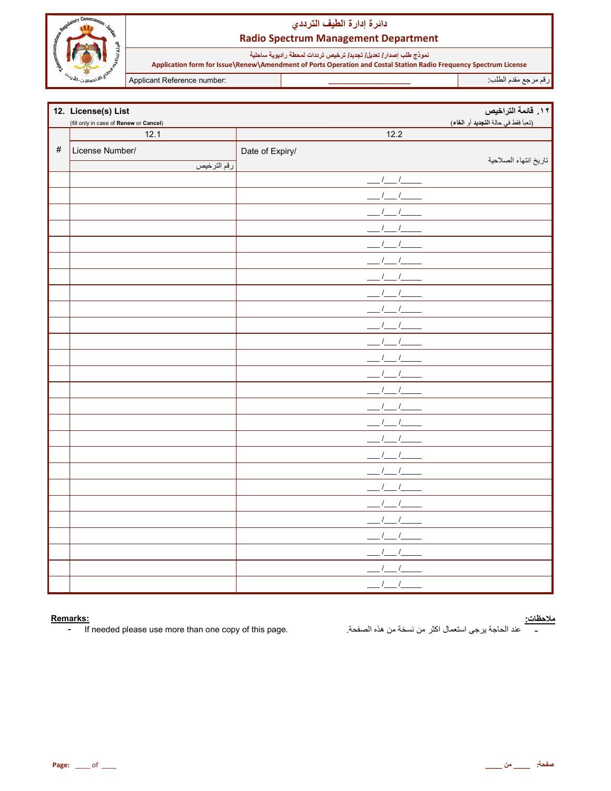

نموذج طلب إصدا*ر |* تعديل/ تجديد/ ترخيص ترددات لمحطة راديوية ساحلية<br>Application form for Issue\Renew\Amendment of Ports Operation and Costal Station Radio Frequency Spectrum License

Applicant Reference number:

رقم مرجع مقدم الطلب

|      | 12. License(s) List                    |                                        | 11. قائمة التراخيص                  |
|------|----------------------------------------|----------------------------------------|-------------------------------------|
|      | (fill only in case of Renew or Cancel) |                                        | (تعبأ فقط في حالة التجديد أو الغاء) |
|      | 12.1                                   | 12.2                                   |                                     |
| $\#$ | License Number/                        | Date of Expiry/                        |                                     |
|      | رقم الترخيص                            |                                        | تاريخ انتهاء الصلاحية               |
|      |                                        | $1 - 1$                                |                                     |
|      |                                        |                                        |                                     |
|      |                                        |                                        |                                     |
|      |                                        |                                        |                                     |
|      |                                        |                                        |                                     |
|      |                                        |                                        |                                     |
|      |                                        |                                        |                                     |
|      |                                        |                                        |                                     |
|      |                                        |                                        |                                     |
|      |                                        |                                        |                                     |
|      |                                        |                                        |                                     |
|      |                                        |                                        |                                     |
|      |                                        | $\frac{l}{l}$                          |                                     |
|      |                                        |                                        |                                     |
|      |                                        |                                        |                                     |
|      |                                        |                                        |                                     |
|      |                                        |                                        |                                     |
|      |                                        | $\frac{1}{2}$                          |                                     |
|      |                                        |                                        |                                     |
|      |                                        |                                        |                                     |
|      |                                        |                                        |                                     |
|      |                                        |                                        |                                     |
|      |                                        |                                        |                                     |
|      |                                        |                                        |                                     |
|      |                                        |                                        |                                     |
|      |                                        | $\overline{\phantom{a}}$<br>$\sqrt{2}$ |                                     |
|      |                                        | $\prime$<br>$\sqrt{ }$                 |                                     |

#### Remarks:

If needed please use more than one copy of this page.  $\blacksquare$